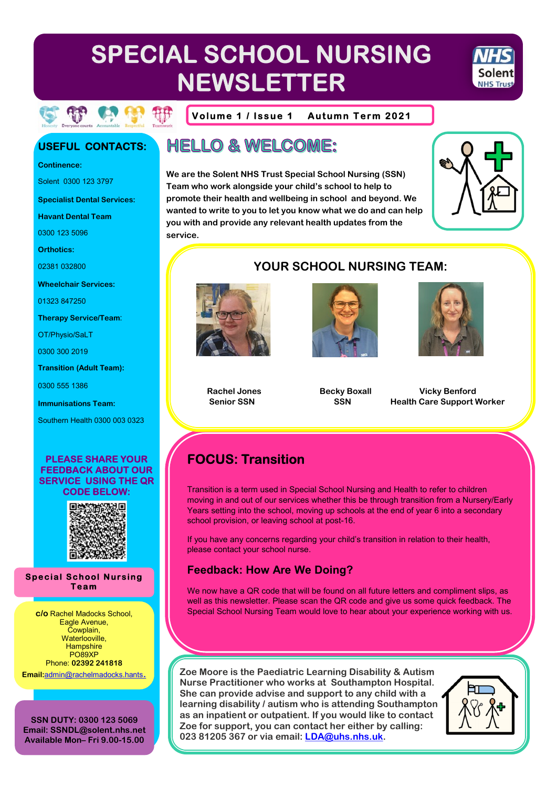# SPECIAL SCHOOL NURSING **NEWSLETTER**

**HELLO & WELCOME:** 



Volume 1 / Issue 1 **Autumn Term 2021** 

We are the Solent NHS Trust Special School Nursing (SSN)

you with and provide any relevant health updates from the

wanted to write to you to let you know what we do and can help

Team who work alongside your child's school to help to promote their health and wellbeing in school and beyond. We

### **USEFUL CONTACTS:**

**Continence:** 

Solent 0300 123 3797

**Specialist Dental Services:** 

**Havant Dental Team** 

0300 123 5096

**Orthotics:** 

02381 032800

**Wheelchair Services:** 

01323 847250

**Therapy Service/Team:** 

OT/Physio/SaLT

0300 300 2019

**Transition (Adult Team):** 

0300 555 1386

**Immunisations Team:** 

Southern Health 0300 003 0323

#### **PLEASE SHARE YOUR FEEDBACK ABOUT OUR SERVICE USING THE QR CODE BELOW:**



**Special School Nursing Team** 

c/o Rachel Madocks School, Eagle Avenue, Cowplain. Waterlooville, Hampshire PO89XP Phone: 02392 241818

Email:admin@rachelmadocks.hants.

SSN DUTY: 0300 123 5069 Email: SSNDL@solent.nhs.net Available Mon-Fri 9.00-15.00

### **YOUR SCHOOL NURSING TEAM:**



**service** 





**Rachel Jones Senior SSN** 

**Becky Boxall SSN** 

**Vicky Benford Health Care Support Worker** 

## **FOCUS: Transition**

Transition is a term used in Special School Nursing and Health to refer to children moving in and out of our services whether this be through transition from a Nursery/Early Years setting into the school, moving up schools at the end of year 6 into a secondary school provision, or leaving school at post-16.

If you have any concerns regarding your child's transition in relation to their health, please contact your school nurse.

### **Feedback: How Are We Doing?**

We now have a QR code that will be found on all future letters and compliment slips, as well as this newsletter. Please scan the QR code and give us some quick feedback. The Special School Nursing Team would love to hear about your experience working with us.

Zoe Moore is the Paediatric Learning Disability & Autism Nurse Practitioner who works at Southampton Hospital. She can provide advise and support to any child with a learning disability / autism who is attending Southampton as an inpatient or outpatient. If you would like to contact Zoe for support, you can contact her either by calling: 023 81205 367 or via email: LDA@uhs.nhs.uk.